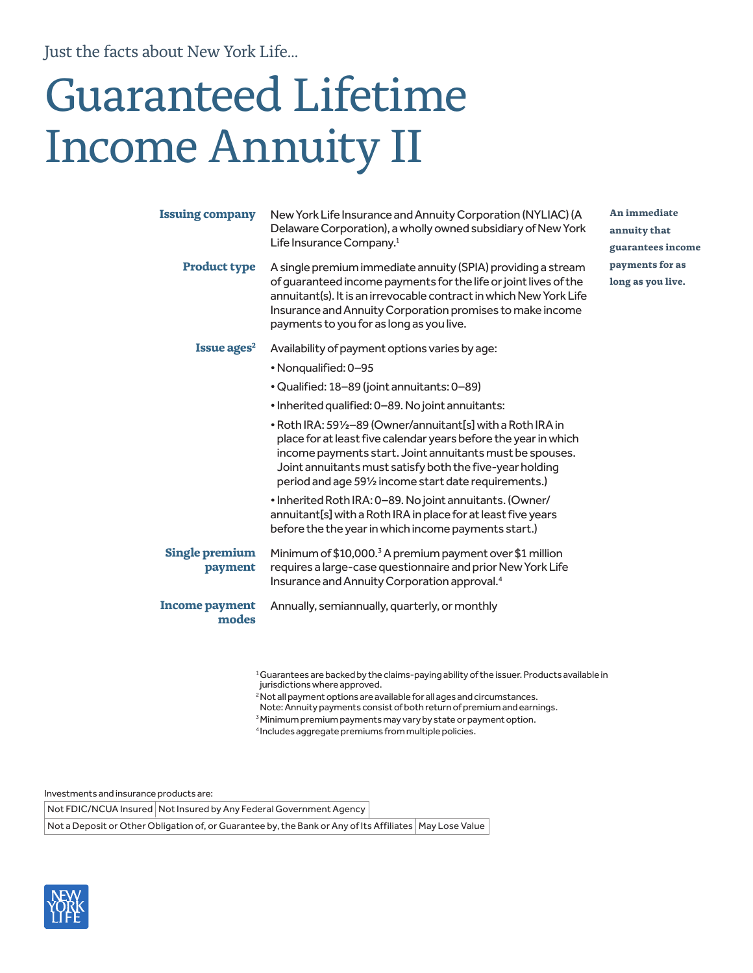Just the facts about New York Life...

## Guaranteed Lifetime Income Annuity II

| <b>Issuing company</b>           | New York Life Insurance and Annuity Corporation (NYLIAC) (A<br>Delaware Corporation), a wholly owned subsidiary of New York<br>Life Insurance Company. <sup>1</sup>                                                                                                                                                                                                                                                                                                                                                                                                                                                                                                                | An immediate<br>annuity that<br>guarantees income |
|----------------------------------|------------------------------------------------------------------------------------------------------------------------------------------------------------------------------------------------------------------------------------------------------------------------------------------------------------------------------------------------------------------------------------------------------------------------------------------------------------------------------------------------------------------------------------------------------------------------------------------------------------------------------------------------------------------------------------|---------------------------------------------------|
| <b>Product type</b>              | A single premium immediate annuity (SPIA) providing a stream<br>of quaranteed income payments for the life or joint lives of the<br>annuitant(s). It is an irrevocable contract in which New York Life<br>Insurance and Annuity Corporation promises to make income<br>payments to you for as long as you live.                                                                                                                                                                                                                                                                                                                                                                    | payments for as<br>long as you live.              |
| Issue ages <sup>2</sup>          | Availability of payment options varies by age:<br>• Nonqualified: 0-95<br>• Qualified: 18-89 (joint annuitants: 0-89)<br>• Inherited qualified: 0–89. No joint annuitants:<br>. Roth IRA: 591/2-89 (Owner/annuitant[s] with a Roth IRA in<br>place for at least five calendar years before the year in which<br>income payments start. Joint annuitants must be spouses.<br>Joint annuitants must satisfy both the five-year holding<br>period and age 591/2 income start date requirements.)<br>• Inherited Roth IRA: 0–89. No joint annuitants. (Owner/<br>annuitant[s] with a Roth IRA in place for at least five years<br>before the the year in which income payments start.) |                                                   |
| <b>Single premium</b><br>payment | Minimum of \$10,000. <sup>3</sup> A premium payment over \$1 million<br>requires a large-case questionnaire and prior New York Life<br>Insurance and Annuity Corporation approval. <sup>4</sup>                                                                                                                                                                                                                                                                                                                                                                                                                                                                                    |                                                   |
| Income payment<br>modes          | Annually, semiannually, quarterly, or monthly                                                                                                                                                                                                                                                                                                                                                                                                                                                                                                                                                                                                                                      |                                                   |

<sup>1</sup> Guarantees are backed by the claims-paying ability of the issuer. Products available in jurisdictions where approved.

<sup>2</sup> Not all payment options are available for all ages and circumstances.

- Note: Annuity payments consist of both return of premium and earnings.
- <sup>3</sup> Minimum premium payments may vary by state or payment option.

4 Includes aggregate premiums from multiple policies.

Investments and insurance products are:

Not FDIC/NCUA Insured | Not Insured by Any Federal Government Agency

Not a Deposit or Other Obligation of, or Guarantee by, the Bank or Any of Its Affiliates | May Lose Value

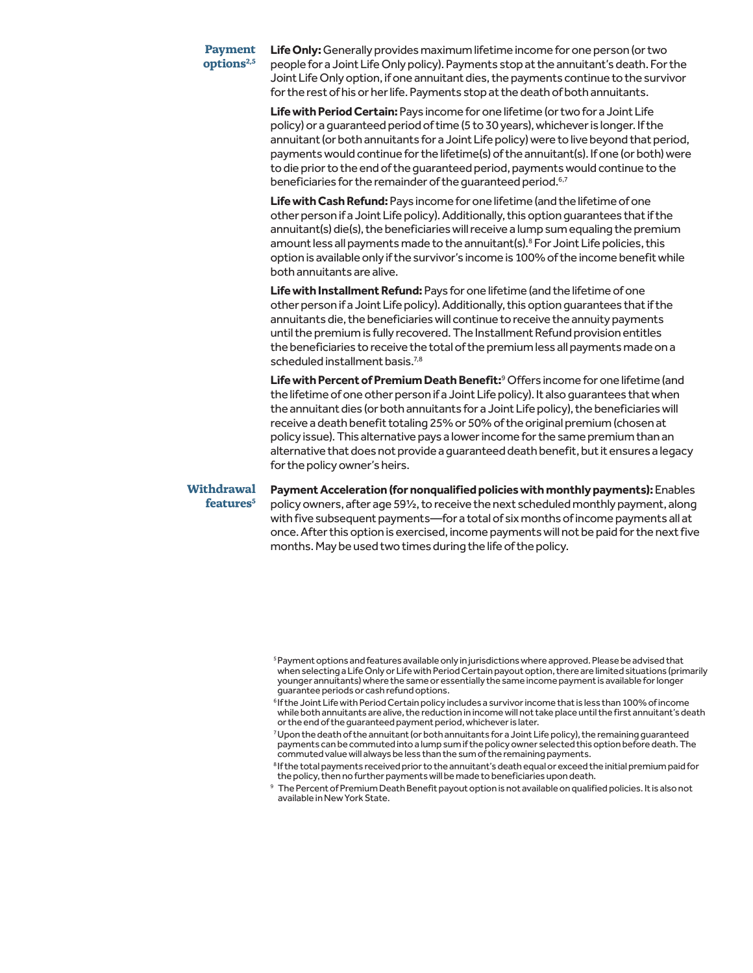## **Payment options2,5**

**Life Only:** Generally provides maximum lifetime income for one person (or two people for a Joint Life Only policy). Payments stop at the annuitant's death. For the Joint Life Only option, if one annuitant dies, the payments continue to the survivor for the rest of his or her life. Payments stop at the death of both annuitants.

**Life with Period Certain:** Pays income for one lifetime (or two for a Joint Life policy) or a guaranteed period of time (5 to 30 years), whichever is longer. If the annuitant (or both annuitants for a Joint Life policy) were to live beyond that period, payments would continue for the lifetime(s) of the annuitant(s). If one (or both) were to die prior to the end of the guaranteed period, payments would continue to the beneficiaries for the remainder of the guaranteed period.<sup>6,7</sup>

**Life with Cash Refund:** Pays income for one lifetime (and the lifetime of one other person if a Joint Life policy). Additionally, this option guarantees that if the annuitant(s) die(s), the beneficiaries will receive a lump sum equaling the premium amount less all payments made to the annuitant(s).<sup>8</sup> For Joint Life policies, this option is available only if the survivor's income is 100% of the income benefit while both annuitants are alive.

**Life with Installment Refund:** Pays for one lifetime (and the lifetime of one other person if a Joint Life policy). Additionally, this option guarantees that if the annuitants die, the beneficiaries will continue to receive the annuity payments until the premium is fully recovered. The Installment Refund provision entitles the beneficiaries to receive the total of the premium less all payments made on a scheduled installment basis.<sup>7,8</sup>

Life with Percent of Premium Death Benefit:<sup>9</sup> Offers income for one lifetime (and the lifetime of one other person if a Joint Life policy). It also guarantees that when the annuitant dies (or both annuitants for a Joint Life policy), the beneficiaries will receive a death benefit totaling 25% or 50% of the original premium (chosen at policy issue). This alternative pays a lower income for the same premium than an alternative that does not provide a guaranteed death benefit, but it ensures a legacy for the policy owner's heirs.

**Withdrawal features5**

**Payment Acceleration (for nonqualified policies with monthly payments):** Enables policy owners, after age 59½, to receive the next scheduled monthly payment, along with five subsequent payments—for a total of six months of income payments all at once. After this option is exercised, income payments will not be paid for the next five months. May be used two times during the life of the policy.

<sup>&</sup>lt;sup>5</sup> Payment options and features available only in jurisdictions where approved. Please be advised that when selecting a Life Only or Life with Period Certain payout option, there are limited situations (primarily younger annuitants) where the same or essentially the same income payment is available for longer guarantee periods or cash refund options.

<sup>6</sup> If the Joint Life with Period Certain policy includes a survivor income that is less than 100% of income while both annuitants are alive, the reduction in income will not take place until the first annuitant's death or the end of the guaranteed payment period, whichever is later.

<sup>7</sup> Upon the death of the annuitant (or both annuitants for a Joint Life policy), the remaining guaranteed payments can be commuted into a lump sum if the policy owner selected this option before death. The commuted value will always be less than the sum of the remaining payments.

<sup>8</sup> If the total payments received prior to the annuitant's death equal or exceed the initial premium paid for the policy, then no further payments will be made to beneficiaries upon death.

<sup>9</sup> The Percent of Premium Death Benefit payout option is not available on qualified policies. It is also not available in New York State.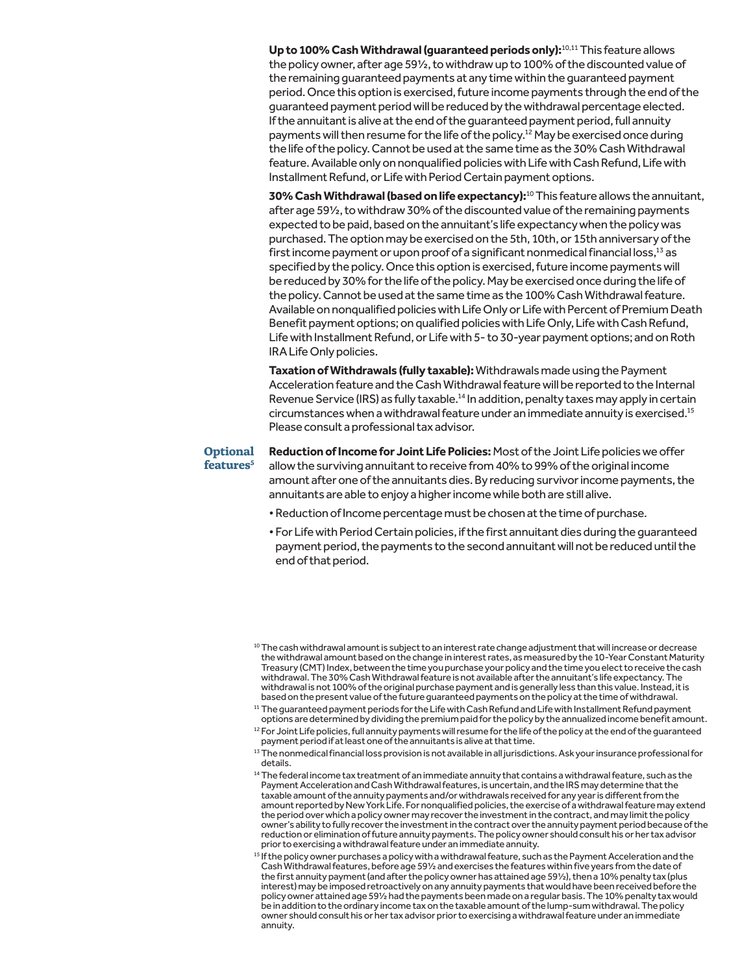**Up to 100% Cash Withdrawal (guaranteed periods only):**10,11 This feature allows the policy owner, after age 59½, to withdraw up to 100% of the discounted value of the remaining guaranteed payments at any time within the guaranteed payment period. Once this option is exercised, future income payments through the end of the guaranteed payment period will be reduced by the withdrawal percentage elected. If the annuitant is alive at the end of the guaranteed payment period, full annuity payments will then resume for the life of the policy.12 May be exercised once during the life of the policy. Cannot be used at the same time as the 30% Cash Withdrawal feature. Available only on nonqualified policies with Life with Cash Refund, Life with Installment Refund, or Life with Period Certain payment options.

**30% Cash Withdrawal (based on life expectancy):**10 This feature allows the annuitant, after age 59½, to withdraw 30% of the discounted value of the remaining payments expected to be paid, based on the annuitant's life expectancy when the policy was purchased. The option may be exercised on the 5th, 10th, or 15th anniversary of the first income payment or upon proof of a significant nonmedical financial loss,13 as specified by the policy. Once this option is exercised, future income payments will be reduced by 30% for the life of the policy. May be exercised once during the life of the policy. Cannot be used at the same time as the 100% Cash Withdrawal feature. Available on nonqualified policies with Life Only or Life with Percent of Premium Death Benefit payment options; on qualified policies with Life Only, Life with Cash Refund, Life with Installment Refund, or Life with 5- to 30-year payment options; and on Roth IRA Life Only policies.

**Taxation of Withdrawals (fully taxable):** Withdrawals made using the Payment Acceleration feature and the Cash Withdrawal feature will be reported to the Internal Revenue Service (IRS) as fully taxable.<sup>14</sup> In addition, penalty taxes may apply in certain circumstances when a withdrawal feature under an immediate annuity is exercised.15 Please consult a professional tax advisor.

## **Optional**

features<sup>5</sup>

**Reduction of Income for Joint Life Policies:** Most of the Joint Life policies we offer allow the surviving annuitant to receive from 40% to 99% of the original income amount after one of the annuitants dies. By reducing survivor income payments, the annuitants are able to enjoy a higher income while both are still alive.

- Reduction of Income percentage must be chosen at the time of purchase.
- For Life with Period Certain policies, if the first annuitant dies during the guaranteed payment period, the payments to the second annuitant will not be reduced until the end of that period.

<sup>&</sup>lt;sup>10</sup> The cash withdrawal amount is subject to an interest rate change adjustment that will increase or decrease the withdrawal amount based on the change in interest rates, as measured by the 10-Year Constant Maturity Treasury (CMT) Index, between the time you purchase your policy and the time you elect to receive the cash withdrawal. The 30% Cash Withdrawal feature is not available after the annuitant's life expectancy. The withdrawal is not 100% of the original purchase payment and is generally less than this value. Instead, it is based on the present value of the future guaranteed payments on the policy at the time of withdrawal.

<sup>&</sup>lt;sup>11</sup> The guaranteed payment periods for the Life with Cash Refund and Life with Installment Refund payment options are determined by dividing the premium paid for the policy by the annualized income benefit amount.

<sup>&</sup>lt;sup>12</sup> For Joint Life policies, full annuity payments will resume for the life of the policy at the end of the guaranteed payment period if at least one of the annuitants is alive at that time.

<sup>&</sup>lt;sup>13</sup> The nonmedical financial loss provision is not available in all jurisdictions. Ask your insurance professional for details.

<sup>&</sup>lt;sup>14</sup> The federal income tax treatment of an immediate annuity that contains a withdrawal feature, such as the Payment Acceleration and Cash Withdrawal features, is uncertain, and the IRS may determine that the taxable amount of the annuity payments and/or withdrawals received for any year is different from the amount reported by New York Life. For nonqualified policies, the exercise of a withdrawal feature may extend the period over which a policy owner may recover the investment in the contract, and may limit the policy owner's ability to fully recover the investment in the contract over the annuity payment period because of the reduction or elimination of future annuity payments. The policy owner should consult his or her tax advisor prior to exercising a withdrawal feature under an immediate annuity.

<sup>15</sup> If the policy owner purchases a policy with a withdrawal feature, such as the Payment Acceleration and the Cash Withdrawal features, before age 59½ and exercises the features within five years from the date of the first annuity payment (and after the policy owner has attained age 591/2), then a 10% penalty tax (plus interest) may be imposed retroactively on any annuity payments that would have been received before the policy owner attained age 59½ had the payments been made on a regular basis. The 10% penalty tax would be in addition to the ordinary income tax on the taxable amount of the lump-sum withdrawal. The policy owner should consult his or her tax advisor prior to exercising a withdrawal feature under an immediate annuity.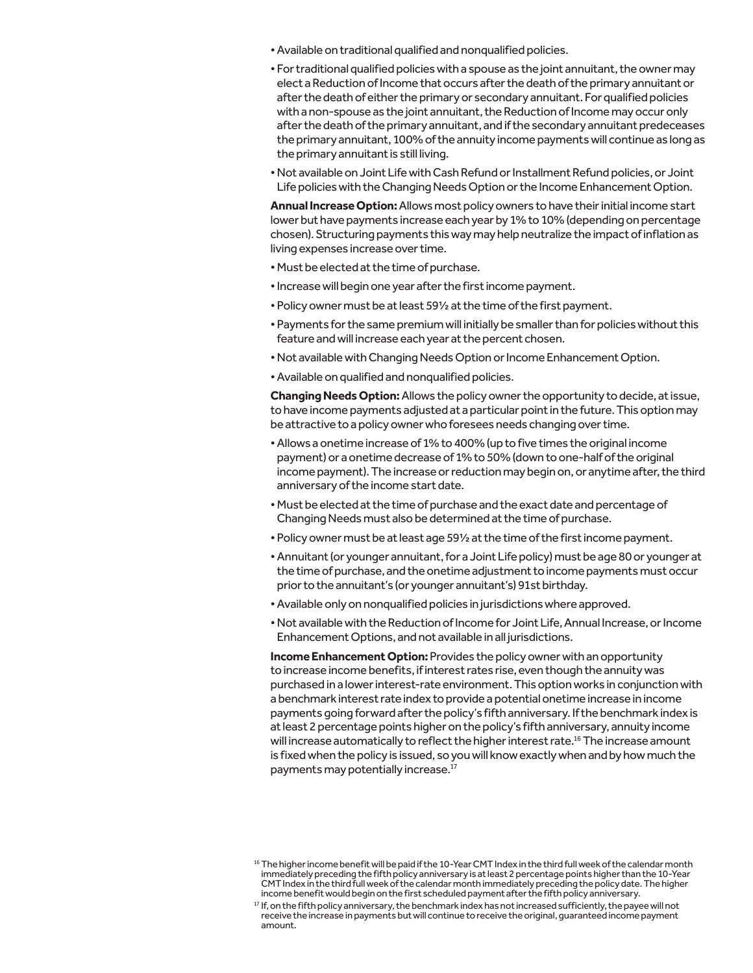- Available on traditional qualified and nonqualified policies.
- For traditional qualified policies with a spouse as the joint annuitant, the owner may elect a Reduction of Income that occurs after the death of the primary annuitant or after the death of either the primary or secondary annuitant. For qualified policies with a non-spouse as the joint annuitant, the Reduction of Income may occur only after the death of the primary annuitant, and if the secondary annuitant predeceases the primary annuitant, 100% of the annuity income payments will continue as long as the primary annuitant is still living.
- Not available on Joint Life with Cash Refund or Installment Refund policies, or Joint Life policies with the Changing Needs Option or the Income Enhancement Option.

**Annual Increase Option:** Allows most policy owners to have their initial income start lower but have payments increase each year by 1% to 10% (depending on percentage chosen). Structuring payments this way may help neutralize the impact of inflation as living expenses increase over time.

- Must be elected at the time of purchase.
- Increase will begin one year after the first income payment.
- Policy owner must be at least 59½ at the time of the first payment.
- Payments for the same premium will initially be smaller than for policies without this feature and will increase each year at the percent chosen.
- Not available with Changing Needs Option or Income Enhancement Option.
- Available on qualified and nonqualified policies.

**Changing Needs Option:** Allows the policy owner the opportunity to decide, at issue, to have income payments adjusted at a particular point in the future. This option may be attractive to a policy owner who foresees needs changing over time.

- Allows a onetime increase of 1% to 400% (up to five times the original income payment) or a onetime decrease of 1% to 50% (down to one-half of the original income payment). The increase or reduction may begin on, or anytime after, the third anniversary of the income start date.
- Must be elected at the time of purchase and the exact date and percentage of Changing Needs must also be determined at the time of purchase.
- Policy owner must be at least age 59½ at the time of the first income payment.
- Annuitant (or younger annuitant, for a Joint Life policy) must be age 80 or younger at the time of purchase, and the onetime adjustment to income payments must occur prior to the annuitant's (or younger annuitant's) 91st birthday.
- Available only on nonqualified policies in jurisdictions where approved.
- Not available with the Reduction of Income for Joint Life, Annual Increase, or Income Enhancement Options, and not available in all jurisdictions.

**Income Enhancement Option:** Provides the policy owner with an opportunity to increase income benefits, if interest rates rise, even though the annuity was purchased in a lower interest-rate environment. This option works in conjunction with a benchmark interest rate index to provide a potential onetime increase in income payments going forward after the policy's fifth anniversary. If the benchmark index is at least 2 percentage points higher on the policy's fifth anniversary, annuity income will increase automatically to reflect the higher interest rate.<sup>16</sup> The increase amount is fixed when the policy is issued, so you will know exactly when and by how much the payments may potentially increase.<sup>17</sup>

<sup>&</sup>lt;sup>16</sup> The higher income benefit will be paid if the 10-Year CMT Index in the third full week of the calendar month immediately preceding the fifth policy anniversary is at least 2 percentage points higher than the 10-Year CMT Index in the third full week of the calendar month immediately preceding the policy date. The higher income benefit would begin on the first scheduled payment after the fifth policy anniversary.

<sup>&</sup>lt;sup>17</sup> If, on the fifth policy anniversary, the benchmark index has not increased sufficiently, the payee will not receive the increase in payments but will continue to receive the original, guaranteed income payment amount.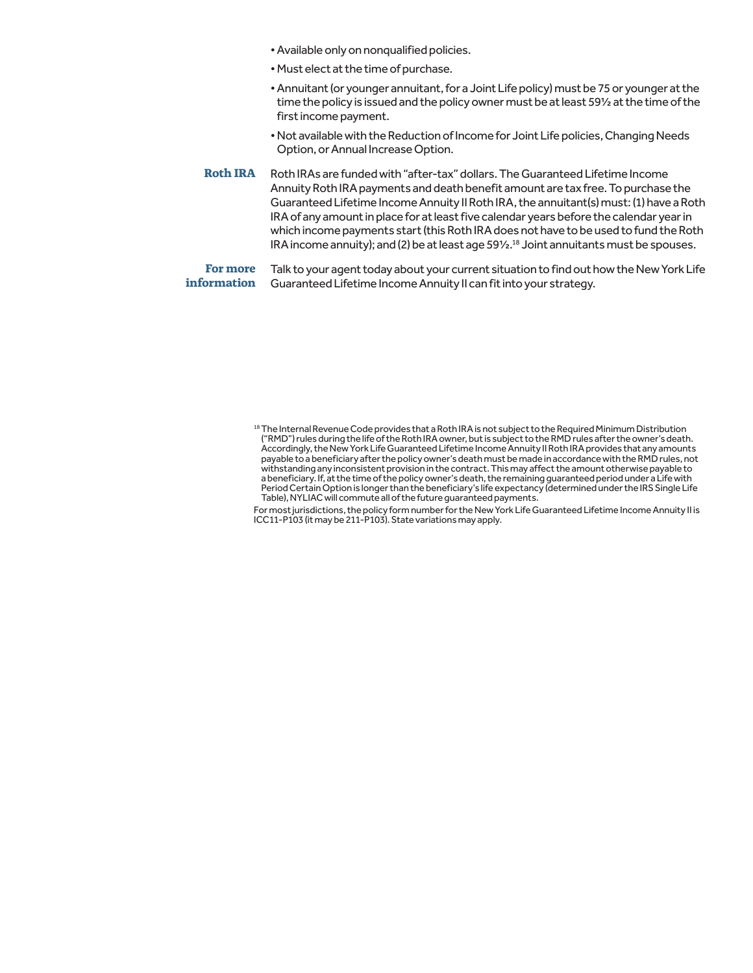- Available only on nonqualified policies.
- Must elect at the time of purchase.
- Annuitant (or younger annuitant, for a Joint Life policy) must be 75 or younger at the time the policy is issued and the policy owner must be at least 59½ at the time of the first income payment.
- Not available with the Reduction of Income for Joint Life policies, Changing Needs Option, or Annual Increase Option.
- **Roth IRA** Roth IRAs are funded with "after-tax" dollars. The Guaranteed Lifetime Income Annuity Roth IRA payments and death benefit amount are tax free. To purchase the Guaranteed Lifetime Income Annuity II Roth IRA, the annuitant(s) must: (1) have a Roth IRA of any amount in place for at least five calendar years before the calendar year in which income payments start (this Roth IRA does not have to be used to fund the Roth IRA income annuity); and (2) be at least age 591/2.<sup>18</sup> Joint annuitants must be spouses.

**For more information** Talk to your agent today about your current situation to find out how the New York Life Guaranteed Lifetime Income Annuity II can fit into your strategy.

For most jurisdictions, the policy form number for the New York Life Guaranteed Lifetime Income Annuity II is ICC11-P103 (it may be 211-P103). State variations may apply.

<sup>18</sup> The Internal Revenue Code provides that a Roth IRA is not subject to the Required Minimum Distribution ("RMD") rules during the life of the Roth IRA owner, but is subject to the RMD rules after the owner's death. Accordingly, the New York Life Guaranteed Lifetime Income Annuity II Roth IRA provides that any amounts payable to a beneficiary after the policy owner's death must be made in accordance with the RMD rules, not withstanding any inconsistent provision in the contract. This may affect the amount otherwise payable to a beneficiary. If, at the time of the policy owner's death, the remaining guaranteed period under a Life with Period Certain Option is longer than the beneficiary's life expectancy (determined under the IRS Single Life Table), NYLIAC will commute all of the future guaranteed payments.